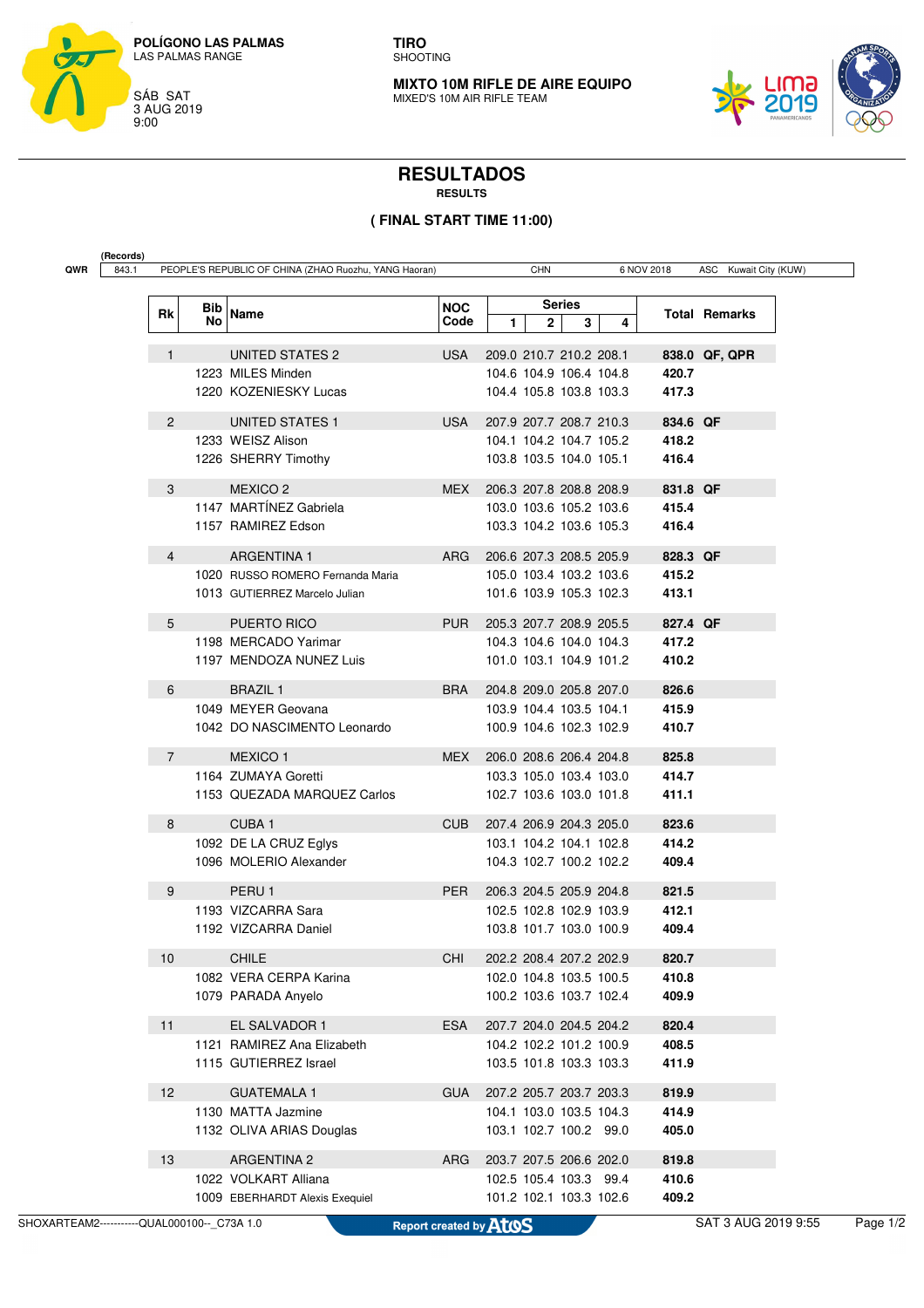

**TIRO** SHOOTING

**MIXTO 10M RIFLE DE AIRE EQUIPO** MIXED'S 10M AIR RIFLE TEAM



## **RESULTADOS**

**RESULTS**

## **( FINAL START TIME 11:00)**

| Rk             | Bib<br>No | Name                                                              | <b>NOC</b><br>Code | $\mathbf{2}$<br>1       | <b>Series</b><br>3<br>4                            |                | <b>Total Remarks</b> |
|----------------|-----------|-------------------------------------------------------------------|--------------------|-------------------------|----------------------------------------------------|----------------|----------------------|
| $\mathbf{1}$   |           | UNITED STATES 2                                                   | USA                |                         | 209.0 210.7 210.2 208.1                            |                | 838.0 QF, QPR        |
|                |           | 1223 MILES Minden<br>1220 KOZENIESKY Lucas                        |                    |                         | 104.6 104.9 106.4 104.8<br>104.4 105.8 103.8 103.3 | 420.7<br>417.3 |                      |
| $\overline{2}$ |           | <b>UNITED STATES 1</b>                                            | USA                |                         | 207.9 207.7 208.7 210.3                            | 834.6 QF       |                      |
|                |           | 1233 WEISZ Alison<br>1226 SHERRY Timothy                          |                    |                         | 104.1 104.2 104.7 105.2<br>103.8 103.5 104.0 105.1 | 418.2<br>416.4 |                      |
| 3              |           | MEXICO <sub>2</sub>                                               | MEX                |                         | 206.3 207.8 208.8 208.9                            | 831.8 QF       |                      |
|                |           | 1147 MARTÍNEZ Gabriela<br>1157 RAMIREZ Edson                      |                    |                         | 103.0 103.6 105.2 103.6<br>103.3 104.2 103.6 105.3 | 415.4<br>416.4 |                      |
| 4              |           | <b>ARGENTINA 1</b>                                                | <b>ARG</b>         |                         | 206.6 207.3 208.5 205.9                            | 828.3 QF       |                      |
|                |           | 1020 RUSSO ROMERO Fernanda Maria<br>1013 GUTIERREZ Marcelo Julian |                    |                         | 105.0 103.4 103.2 103.6<br>101.6 103.9 105.3 102.3 | 415.2<br>413.1 |                      |
| 5              |           | PUERTO RICO                                                       | PUR.               |                         | 205.3 207.7 208.9 205.5                            | 827.4 QF       |                      |
|                |           | 1198 MERCADO Yarimar<br>1197 MENDOZA NUNEZ Luis                   |                    |                         | 104.3 104.6 104.0 104.3<br>101.0 103.1 104.9 101.2 | 417.2<br>410.2 |                      |
| 6              |           | <b>BRAZIL1</b>                                                    | BRA                |                         | 204.8 209.0 205.8 207.0                            | 826.6          |                      |
|                |           | 1049 MEYER Geovana<br>1042 DO NASCIMENTO Leonardo                 |                    |                         | 103.9 104.4 103.5 104.1<br>100.9 104.6 102.3 102.9 | 415.9<br>410.7 |                      |
| $\overline{7}$ |           | <b>MEXICO1</b>                                                    | MEX                |                         | 206.0 208.6 206.4 204.8                            | 825.8          |                      |
|                |           | 1164 ZUMAYA Goretti<br>1153 QUEZADA MARQUEZ Carlos                |                    |                         | 103.3 105.0 103.4 103.0<br>102.7 103.6 103.0 101.8 | 414.7<br>411.1 |                      |
| 8              |           | CUBA <sub>1</sub>                                                 | CUB                |                         | 207.4 206.9 204.3 205.0                            | 823.6          |                      |
|                |           | 1092 DE LA CRUZ Eglys<br>1096 MOLERIO Alexander                   |                    |                         | 103.1 104.2 104.1 102.8<br>104.3 102.7 100.2 102.2 | 414.2<br>409.4 |                      |
| 9              |           | PERU <sub>1</sub>                                                 | PER                |                         | 206.3 204.5 205.9 204.8                            | 821.5          |                      |
|                |           | 1193 VIZCARRA Sara<br>1192 VIZCARRA Daniel                        |                    |                         | 102.5 102.8 102.9 103.9<br>103.8 101.7 103.0 100.9 | 412.1<br>409.4 |                      |
| 10             |           | <b>CHILE</b>                                                      | CHI                |                         | 202.2 208.4 207.2 202.9                            | 820.7          |                      |
|                |           | 1082 VERA CERPA Karina<br>1079 PARADA Anyelo                      |                    |                         | 102.0 104.8 103.5 100.5<br>100.2 103.6 103.7 102.4 | 410.8<br>409.9 |                      |
| 11             |           | EL SALVADOR 1                                                     | ESA                |                         | 207.7 204.0 204.5 204.2                            | 820.4          |                      |
|                |           | 1121 RAMIREZ Ana Elizabeth<br>1115 GUTIERREZ Israel               |                    |                         | 104.2 102.2 101.2 100.9<br>103.5 101.8 103.3 103.3 | 408.5<br>411.9 |                      |
| 12             |           | <b>GUATEMALA 1</b>                                                | GUA                | 207.2 205.7 203.7 203.3 |                                                    | 819.9          |                      |
|                |           | 1130 MATTA Jazmine<br>1132 OLIVA ARIAS Douglas                    |                    |                         | 104.1 103.0 103.5 104.3<br>103.1 102.7 100.2 99.0  | 414.9<br>405.0 |                      |
| 13             |           | <b>ARGENTINA 2</b>                                                | ARG                |                         | 203.7 207.5 206.6 202.0                            | 819.8          |                      |
|                |           | 1022 VOLKART Alliana<br>1009 EBERHARDT Alexis Exequiel            |                    |                         | 102.5 105.4 103.3 99.4<br>101.2 102.1 103.3 102.6  | 410.6<br>409.2 |                      |